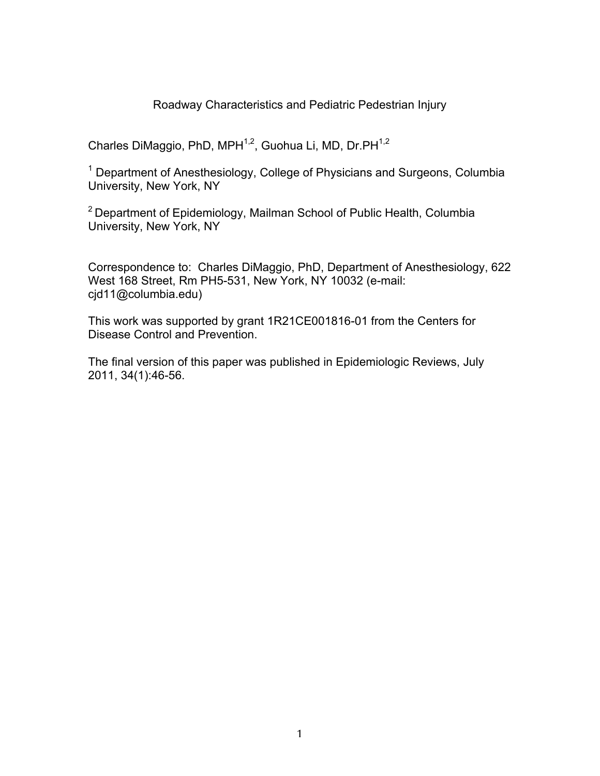## Roadway Characteristics and Pediatric Pedestrian Injury

Charles DiMaggio, PhD,  $MPH^{1,2}$ , Guohua Li, MD, Dr.PH $^{1,2}$ 

<sup>1</sup> Department of Anesthesiology, College of Physicians and Surgeons, Columbia University, New York, NY

2 Department of Epidemiology, Mailman School of Public Health, Columbia University, New York, NY

Correspondence to: Charles DiMaggio, PhD, Department of Anesthesiology, 622 West 168 Street, Rm PH5-531, New York, NY 10032 (e-mail: cjd11@columbia.edu)

This work was supported by grant 1R21CE001816-01 from the Centers for Disease Control and Prevention.

The final version of this paper was published in Epidemiologic Reviews, July 2011, 34(1):46-56.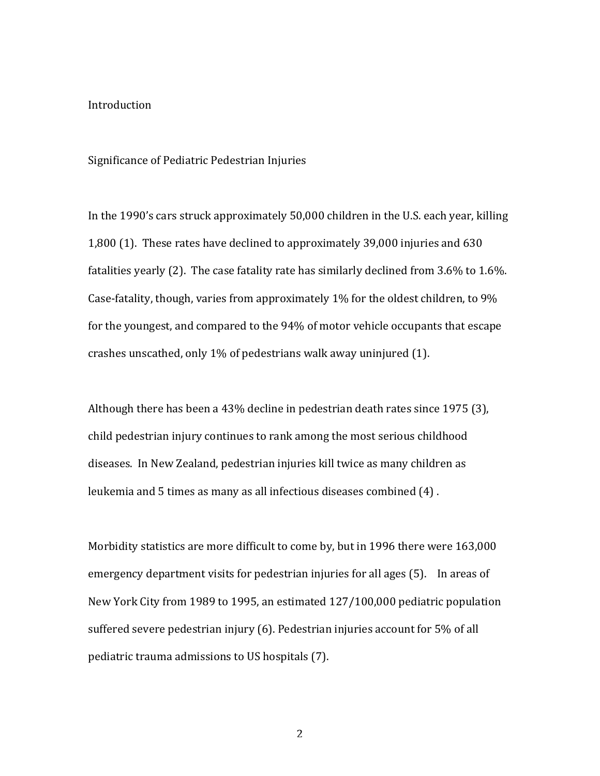## Introduction

### Significance of Pediatric Pedestrian Injuries

In the 1990's cars struck approximately 50,000 children in the U.S. each year, killing 1,800 (1). These rates have declined to approximately 39,000 injuries and 630 fatalities yearly (2). The case fatality rate has similarly declined from  $3.6\%$  to  $1.6\%$ . Case-fatality, though, varies from approximately 1% for the oldest children, to 9% for the youngest, and compared to the 94% of motor vehicle occupants that escape crashes unscathed, only 1% of pedestrians walk away uninjured  $(1)$ .

Although there has been a 43% decline in pedestrian death rates since 1975 (3), child pedestrian injury continues to rank among the most serious childhood diseases. In New Zealand, pedestrian injuries kill twice as many children as leukemia and 5 times as many as all infectious diseases combined (4).

Morbidity statistics are more difficult to come by, but in 1996 there were 163,000 emergency department visits for pedestrian injuries for all ages (5). In areas of New York City from 1989 to 1995, an estimated 127/100,000 pediatric population suffered severe pedestrian injury (6). Pedestrian injuries account for  $5%$  of all pediatric trauma admissions to US hospitals (7).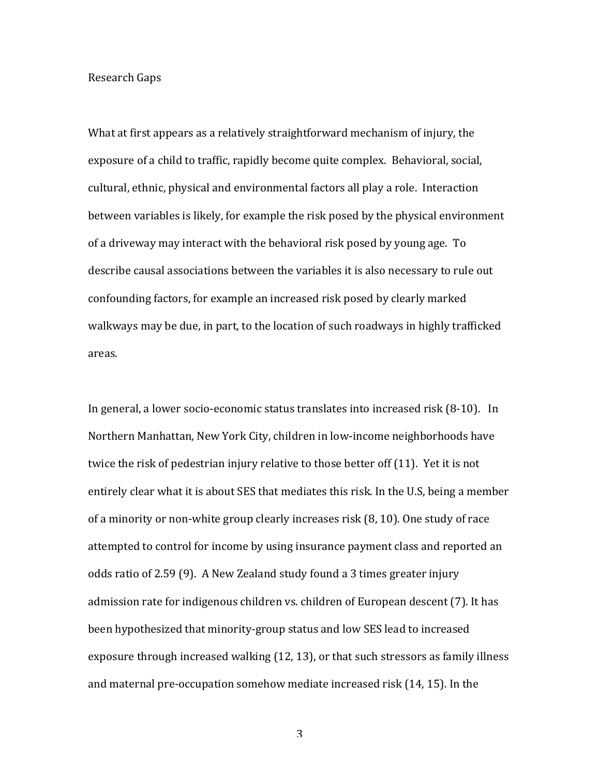### Research!Gaps

What at first appears as a relatively straightforward mechanism of injury, the exposure of a child to traffic, rapidly become quite complex. Behavioral, social, cultural, ethnic, physical and environmental factors all play a role. Interaction between variables is likely, for example the risk posed by the physical environment of a driveway may interact with the behavioral risk posed by young age. To describe causal associations between the variables it is also necessary to rule out confounding factors, for example an increased risk posed by clearly marked walkways may be due, in part, to the location of such roadways in highly trafficked areas.

In general, a lower socio-economic status translates into increased risk  $(8-10)$ . In Northern Manhattan, New York City, children in low-income neighborhoods have twice the risk of pedestrian injury relative to those better off (11). Yet it is not entirely clear what it is about SES that mediates this risk. In the U.S, being a member of a minority or non-white group clearly increases risk (8, 10). One study of race attempted to control for income by using insurance payment class and reported an odds ratio of 2.59 (9). A New Zealand study found a 3 times greater injury admission rate for indigenous children vs. children of European descent (7). It has been hypothesized that minority-group status and low SES lead to increased exposure through increased walking  $(12, 13)$ , or that such stressors as family illness and maternal pre-occupation somehow mediate increased risk (14, 15). In the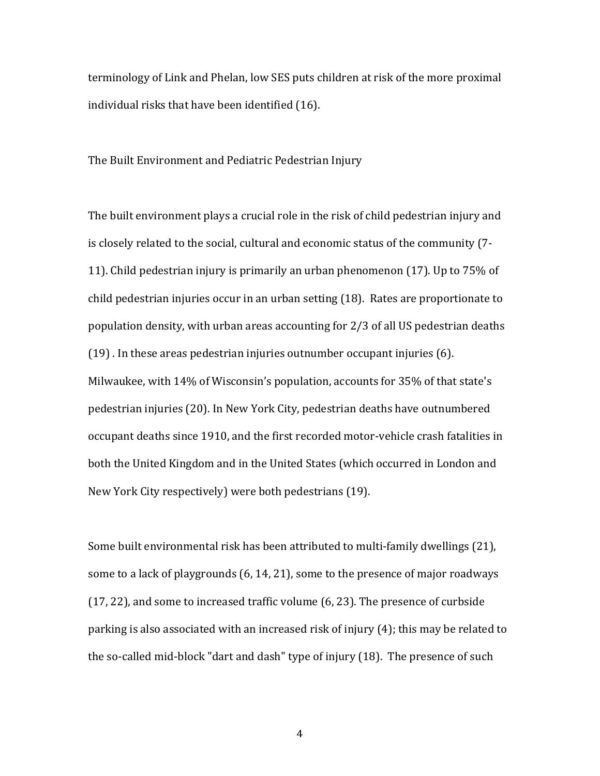terminology of Link and Phelan, low SES puts children at risk of the more proximal individual risks that have been identified (16).

The Built Environment and Pediatric Pedestrian Injury

The built environment plays a crucial role in the risk of child pedestrian injury and is closely related to the social, cultural and economic status of the community (7-11). Child pedestrian injury is primarily an urban phenomenon (17). Up to  $75\%$  of child pedestrian injuries occur in an urban setting (18). Rates are proportionate to population density, with urban areas accounting for  $2/3$  of all US pedestrian deaths  $(19)$ . In these areas pedestrian injuries outnumber occupant injuries (6). Milwaukee, with 14% of Wisconsin's population, accounts for 35% of that state's pedestrian injuries (20). In New York City, pedestrian deaths have outnumbered occupant deaths since 1910, and the first recorded motor-vehicle crash fatalities in both the United Kingdom and in the United States (which occurred in London and New York City respectively) were both pedestrians (19).

Some built environmental risk has been attributed to multi-family dwellings (21), some to a lack of playgrounds (6, 14, 21), some to the presence of major roadways  $(17, 22)$ , and some to increased traffic volume  $(6, 23)$ . The presence of curbside parking is also associated with an increased risk of injury  $(4)$ ; this may be related to the so-called mid-block "dart and dash" type of injury (18). The presence of such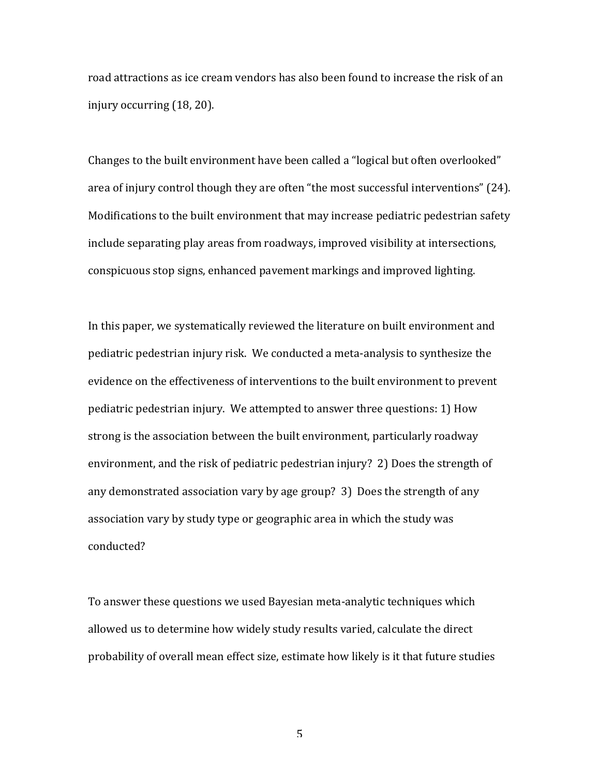road attractions as ice cream vendors has also been found to increase the risk of an injury occurring (18, 20).

Changes to the built environment have been called a "logical but often overlooked" area of injury control though they are often "the most successful interventions" (24). Modifications to the built environment that may increase pediatric pedestrian safety include separating play areas from roadways, improved visibility at intersections, conspicuous stop signs, enhanced pavement markings and improved lighting.

In this paper, we systematically reviewed the literature on built environment and pediatric pedestrian injury risk. We conducted a meta-analysis to synthesize the evidence on the effectiveness of interventions to the built environment to prevent pediatric pedestrian injury. We attempted to answer three questions: 1) How strong is the association between the built environment, particularly roadway environment, and the risk of pediatric pedestrian injury? 2) Does the strength of any demonstrated association vary by age group? 3) Does the strength of any association vary by study type or geographic area in which the study was conducted?

To answer these questions we used Bayesian meta-analytic techniques which allowed us to determine how widely study results varied, calculate the direct probability of overall mean effect size, estimate how likely is it that future studies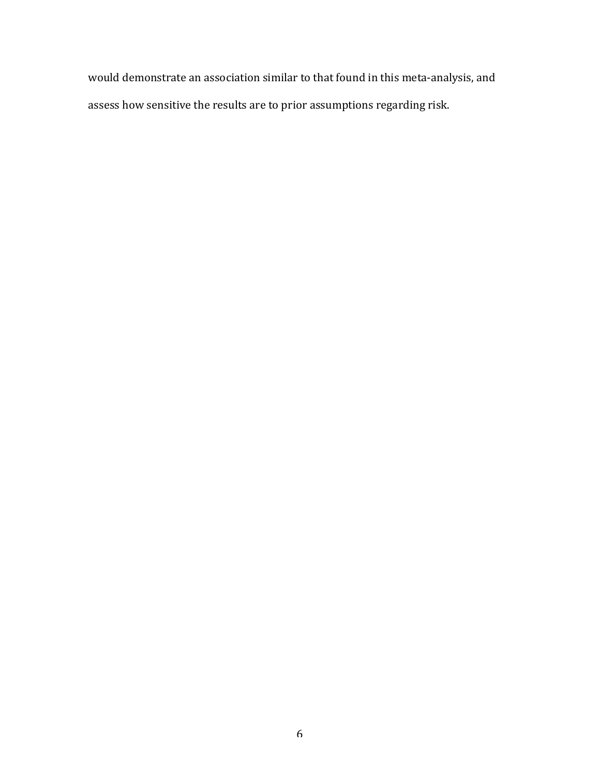would demonstrate an association similar to that found in this meta-analysis, and assess how sensitive the results are to prior assumptions regarding risk.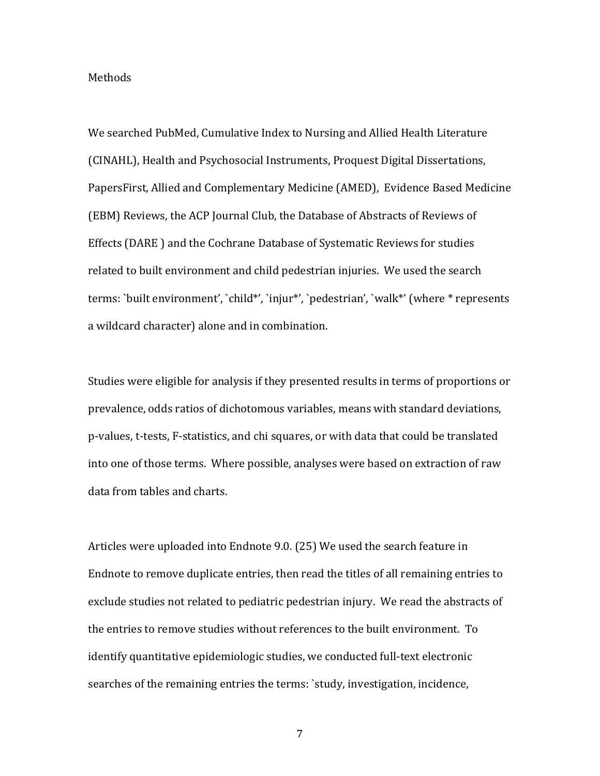#### Methods

We searched PubMed, Cumulative Index to Nursing and Allied Health Literature (CINAHL), Health and Psychosocial Instruments, Proquest Digital Dissertations, PapersFirst, Allied and Complementary Medicine (AMED), Evidence Based Medicine (EBM) Reviews, the ACP Journal Club, the Database of Abstracts of Reviews of Effects (DARE ) and the Cochrane Database of Systematic Reviews for studies related to built environment and child pedestrian injuries. We used the search terms: `built environment', `child\*', `injur\*', `pedestrian', `walk\*' (where \* represents a wildcard character) alone and in combination.

Studies were eligible for analysis if they presented results in terms of proportions or prevalence, odds ratios of dichotomous variables, means with standard deviations, p-values, t-tests, F-statistics, and chi squares, or with data that could be translated into one of those terms. Where possible, analyses were based on extraction of raw data from tables and charts.

Articles were uploaded into Endnote 9.0. (25) We used the search feature in Endnote to remove duplicate entries, then read the titles of all remaining entries to exclude studies not related to pediatric pedestrian injury. We read the abstracts of the entries to remove studies without references to the built environment. To identify quantitative epidemiologic studies, we conducted full-text electronic searches of the remaining entries the terms: 'study, investigation, incidence,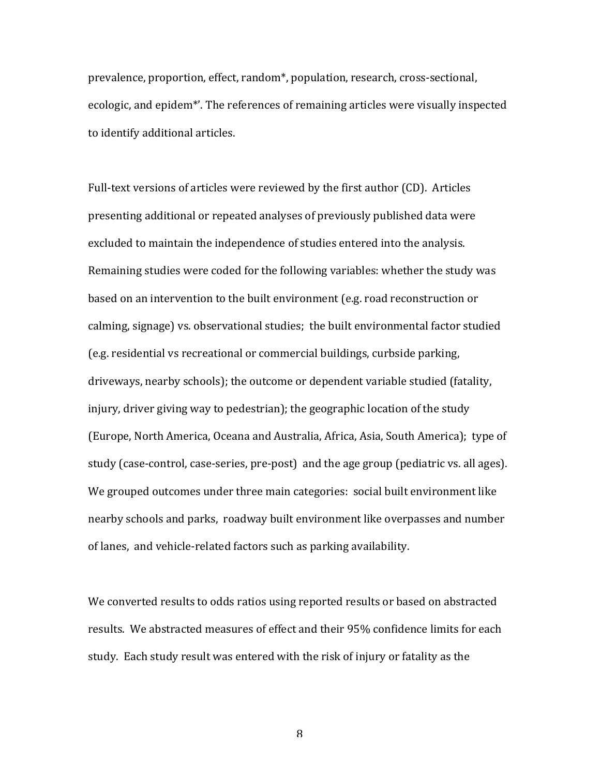prevalence, proportion, effect, random\*, population, research, cross-sectional, ecologic, and epidem<sup>\*</sup>'. The references of remaining articles were visually inspected to identify additional articles.

Full-text versions of articles were reviewed by the first author (CD). Articles presenting additional or repeated analyses of previously published data were excluded to maintain the independence of studies entered into the analysis. Remaining studies were coded for the following variables: whether the study was based on an intervention to the built environment (e.g. road reconstruction or calming, signage) vs. observational studies; the built environmental factor studied (e.g. residential vs recreational or commercial buildings, curbside parking, driveways, nearby schools); the outcome or dependent variable studied (fatality, injury, driver giving way to pedestrian); the geographic location of the study (Europe, North America, Oceana and Australia, Africa, Asia, South America); type of study (case-control, case-series, pre-post) and the age group (pediatric vs. all ages). We grouped outcomes under three main categories: social built environment like nearby schools and parks, roadway built environment like overpasses and number of lanes, and vehicle-related factors such as parking availability.

We converted results to odds ratios using reported results or based on abstracted results. We abstracted measures of effect and their 95% confidence limits for each study. Each study result was entered with the risk of injury or fatality as the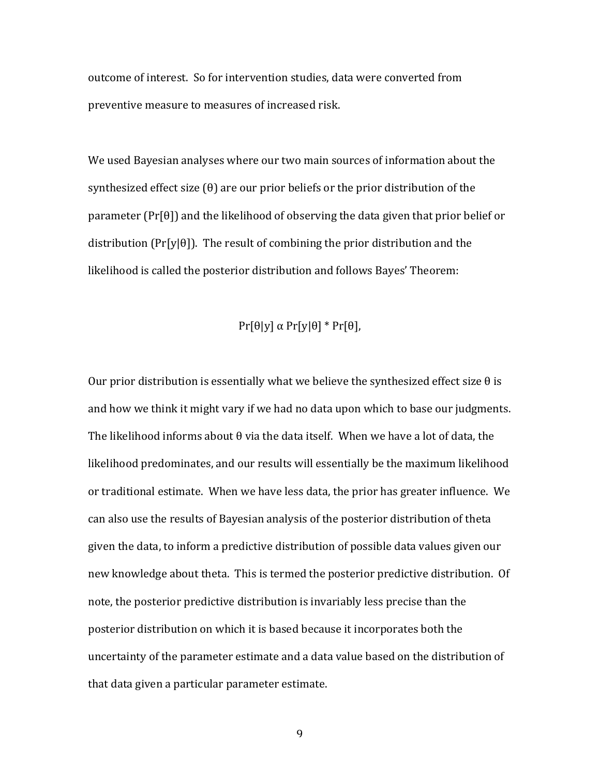outcome of interest. So for intervention studies, data were converted from preventive measure to measures of increased risk.

We used Bayesian analyses where our two main sources of information about the synthesized effect size  $(\theta)$  are our prior beliefs or the prior distribution of the parameter (Pr[ $\theta$ ]) and the likelihood of observing the data given that prior belief or distribution (Pr[y|θ]). The result of combining the prior distribution and the likelihood is called the posterior distribution and follows Bayes' Theorem:

## $Pr[\theta|y] \alpha Pr[y|\theta] * Pr[\theta],$

Our prior distribution is essentially what we believe the synthesized effect size  $\theta$  is and how we think it might vary if we had no data upon which to base our judgments. The likelihood informs about  $\theta$  via the data itself. When we have a lot of data, the likelihood predominates, and our results will essentially be the maximum likelihood or traditional estimate. When we have less data, the prior has greater influence. We can also use the results of Bayesian analysis of the posterior distribution of theta given the data, to inform a predictive distribution of possible data values given our new knowledge about theta. This is termed the posterior predictive distribution. Of note, the posterior predictive distribution is invariably less precise than the posterior distribution on which it is based because it incorporates both the uncertainty of the parameter estimate and a data value based on the distribution of that data given a particular parameter estimate.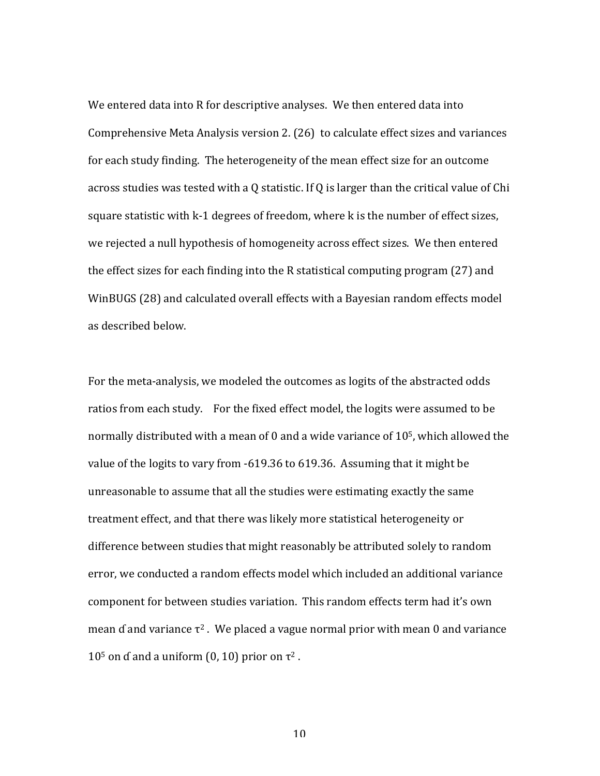We entered data into R for descriptive analyses. We then entered data into Comprehensive Meta Analysis version  $2. (26)$  to calculate effect sizes and variances for each study finding. The heterogeneity of the mean effect size for an outcome across studies was tested with a Q statistic. If Q is larger than the critical value of Chi square statistic with k-1 degrees of freedom, where k is the number of effect sizes, we rejected a null hypothesis of homogeneity across effect sizes. We then entered the effect sizes for each finding into the R statistical computing program  $(27)$  and WinBUGS (28) and calculated overall effects with a Bayesian random effects model as described below.

For the meta-analysis, we modeled the outcomes as logits of the abstracted odds ratios from each study. For the fixed effect model, the logits were assumed to be normally distributed with a mean of 0 and a wide variance of  $10<sup>5</sup>$ , which allowed the value of the logits to vary from -619.36 to 619.36. Assuming that it might be unreasonable to assume that all the studies were estimating exactly the same treatment effect, and that there was likely more statistical heterogeneity or difference between studies that might reasonably be attributed solely to random error, we conducted a random effects model which included an additional variance component for between studies variation. This random effects term had it's own mean of and variance  $\tau^2$ . We placed a vague normal prior with mean 0 and variance 10<sup>5</sup> on d and a uniform (0, 10) prior on  $\tau^2$ .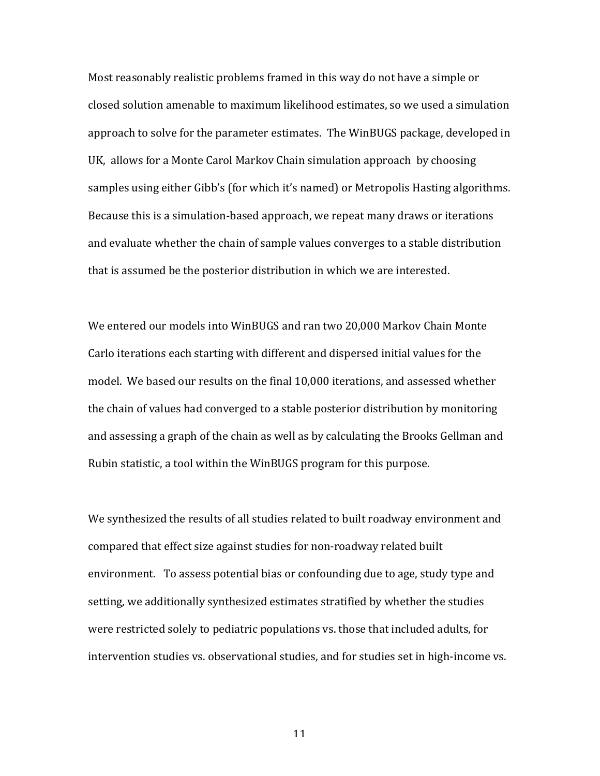Most reasonably realistic problems framed in this way do not have a simple or closed solution amenable to maximum likelihood estimates, so we used a simulation approach to solve for the parameter estimates. The WinBUGS package, developed in UK, allows for a Monte Carol Markov Chain simulation approach by choosing samples using either Gibb's (for which it's named) or Metropolis Hasting algorithms. Because this is a simulation-based approach, we repeat many draws or iterations and evaluate whether the chain of sample values converges to a stable distribution that is assumed be the posterior distribution in which we are interested.

We entered our models into WinBUGS and ran two 20,000 Markov Chain Monte Carlo iterations each starting with different and dispersed initial values for the model. We based our results on the final 10,000 iterations, and assessed whether the chain of values had converged to a stable posterior distribution by monitoring and assessing a graph of the chain as well as by calculating the Brooks Gellman and Rubin statistic, a tool within the WinBUGS program for this purpose.

We synthesized the results of all studies related to built roadway environment and compared that effect size against studies for non-roadway related built environment. To assess potential bias or confounding due to age, study type and setting, we additionally synthesized estimates stratified by whether the studies were restricted solely to pediatric populations vs. those that included adults, for intervention studies vs. observational studies, and for studies set in high-income vs.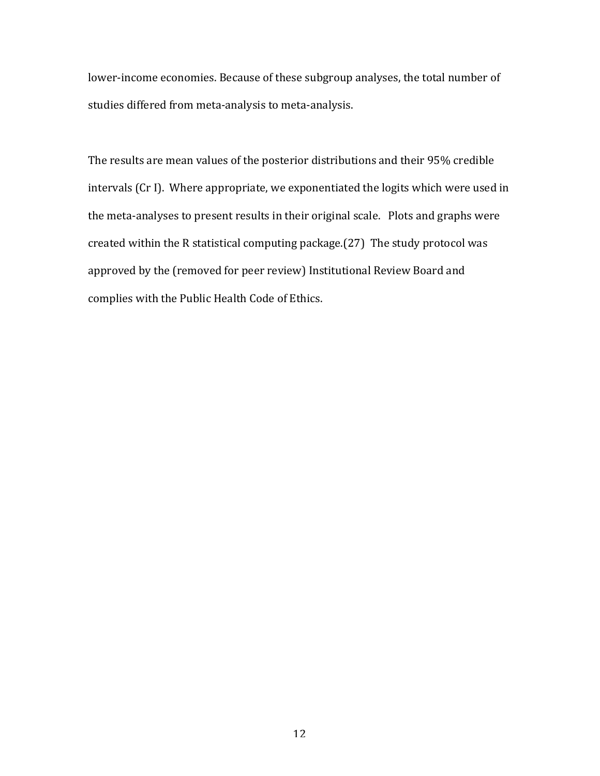lower-income economies. Because of these subgroup analyses, the total number of studies differed from meta-analysis to meta-analysis.

The results are mean values of the posterior distributions and their 95% credible intervals (Cr I). Where appropriate, we exponentiated the logits which were used in the meta-analyses to present results in their original scale. Plots and graphs were created within the R statistical computing package.(27) The study protocol was approved by the (removed for peer review) Institutional Review Board and complies with the Public Health Code of Ethics.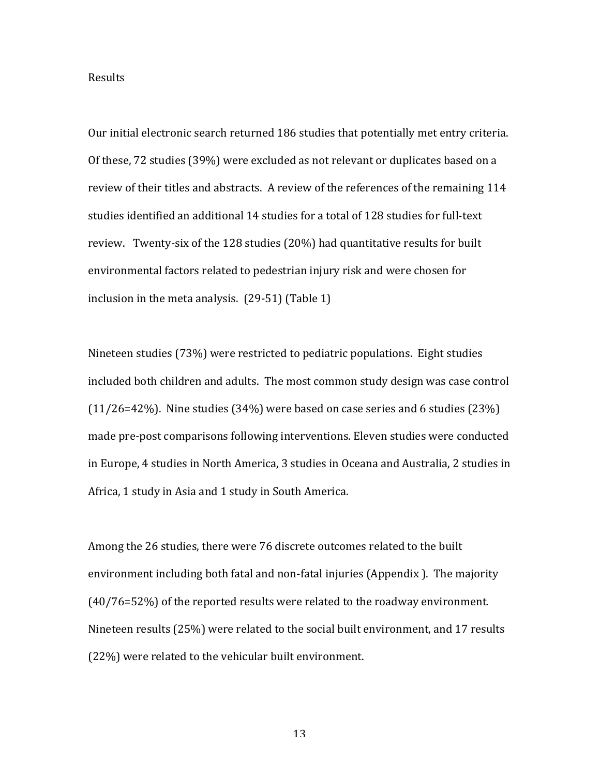## Results

Our initial electronic search returned 186 studies that potentially met entry criteria. Of these, 72 studies (39%) were excluded as not relevant or duplicates based on a review of their titles and abstracts. A review of the references of the remaining 114 studies identified an additional 14 studies for a total of 128 studies for full-text review. Twenty-six of the 128 studies (20%) had quantitative results for built environmental factors related to pedestrian injury risk and were chosen for inclusion in the meta analysis.  $(29-51)$  (Table 1)

Nineteen studies (73%) were restricted to pediatric populations. Eight studies included both children and adults. The most common study design was case control  $(11/26=42%)$ . Nine studies (34%) were based on case series and 6 studies (23%) made pre-post comparisons following interventions. Eleven studies were conducted in Europe, 4 studies in North America, 3 studies in Oceana and Australia, 2 studies in Africa, 1 study in Asia and 1 study in South America.

Among the 26 studies, there were 76 discrete outcomes related to the built environment including both fatal and non-fatal injuries (Appendix ). The majority  $(40/76=52%)$  of the reported results were related to the roadway environment. Nineteen results (25%) were related to the social built environment, and 17 results  $(22%)$  were related to the vehicular built environment.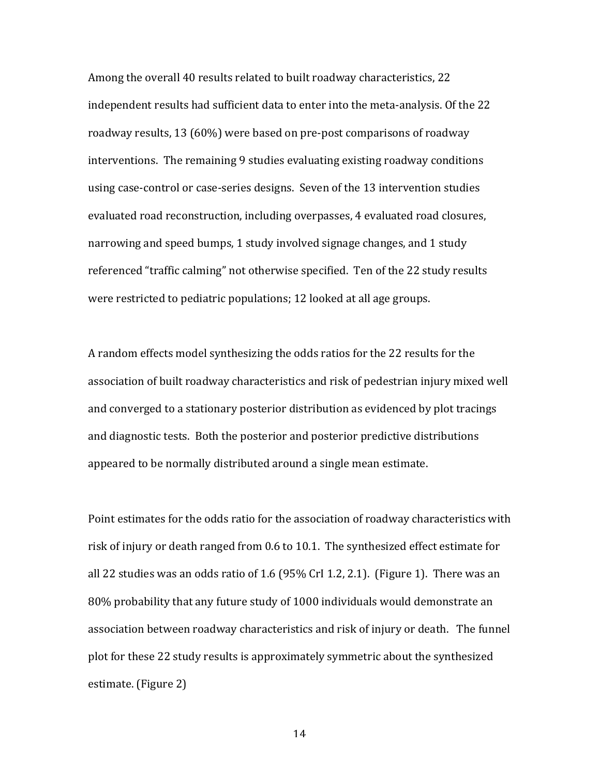Among the overall 40 results related to built roadway characteristics, 22 independent results had sufficient data to enter into the meta-analysis. Of the 22 roadway results, 13 (60%) were based on pre-post comparisons of roadway interventions. The remaining 9 studies evaluating existing roadway conditions using case-control or case-series designs. Seven of the 13 intervention studies evaluated road reconstruction, including overpasses, 4 evaluated road closures, narrowing and speed bumps, 1 study involved signage changes, and 1 study referenced "traffic calming" not otherwise specified. Ten of the 22 study results were restricted to pediatric populations; 12 looked at all age groups.

A random effects model synthesizing the odds ratios for the 22 results for the association of built roadway characteristics and risk of pedestrian injury mixed well and converged to a stationary posterior distribution as evidenced by plot tracings and diagnostic tests. Both the posterior and posterior predictive distributions appeared to be normally distributed around a single mean estimate.

Point estimates for the odds ratio for the association of roadway characteristics with risk of injury or death ranged from 0.6 to 10.1. The synthesized effect estimate for all 22 studies was an odds ratio of 1.6 (95% CrI 1.2, 2.1). (Figure 1). There was an 80% probability that any future study of 1000 individuals would demonstrate an association between roadway characteristics and risk of injury or death. The funnel plot for these 22 study results is approximately symmetric about the synthesized estimate. (Figure 2)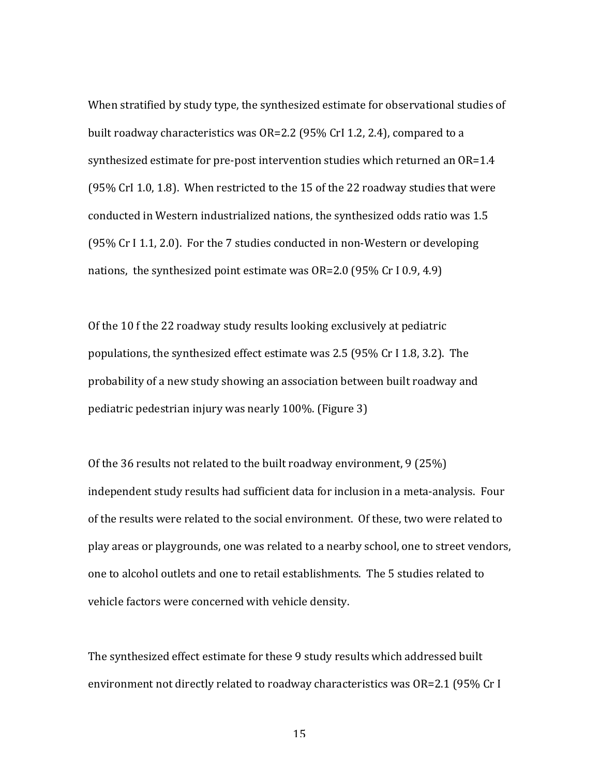When stratified by study type, the synthesized estimate for observational studies of built roadway characteristics was OR=2.2 (95% CrI 1.2, 2.4), compared to a synthesized estimate for pre-post intervention studies which returned an  $OR=1.4$ (95% CrI 1.0, 1.8). When restricted to the 15 of the 22 roadway studies that were conducted in Western industrialized nations, the synthesized odds ratio was 1.5  $(95\% \text{ Cr I } 1.1, 2.0)$ . For the 7 studies conducted in non-Western or developing nations, the synthesized point estimate was  $OR=2.0$  (95% Cr I 0.9, 4.9)

Of the 10 f the 22 roadway study results looking exclusively at pediatric populations, the synthesized effect estimate was 2.5 (95% Cr I 1.8, 3.2). The probability of a new study showing an association between built roadway and pediatric pedestrian injury was nearly 100%. (Figure 3)

Of the 36 results not related to the built roadway environment, 9 (25%) independent study results had sufficient data for inclusion in a meta-analysis. Four of the results were related to the social environment. Of these, two were related to play areas or playgrounds, one was related to a nearby school, one to street vendors, one to alcohol outlets and one to retail establishments. The 5 studies related to vehicle factors were concerned with vehicle density.

The synthesized effect estimate for these 9 study results which addressed built environment not directly related to roadway characteristics was OR=2.1 (95% Cr I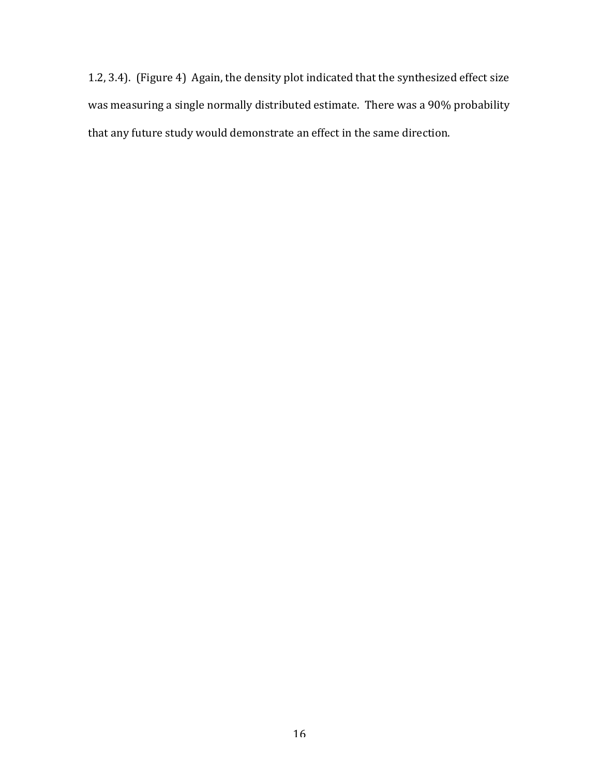1.2, 3.4). (Figure 4) Again, the density plot indicated that the synthesized effect size was measuring a single normally distributed estimate. There was a 90% probability that any future study would demonstrate an effect in the same direction.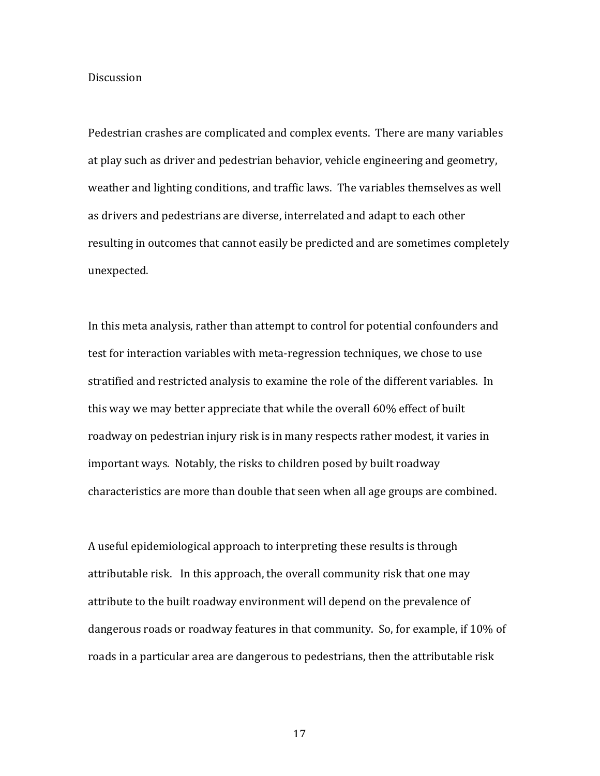## **Discussion**

Pedestrian crashes are complicated and complex events. There are many variables at play such as driver and pedestrian behavior, vehicle engineering and geometry, weather and lighting conditions, and traffic laws. The variables themselves as well as drivers and pedestrians are diverse, interrelated and adapt to each other resulting in outcomes that cannot easily be predicted and are sometimes completely unexpected.

In this meta analysis, rather than attempt to control for potential confounders and test for interaction variables with meta-regression techniques, we chose to use stratified and restricted analysis to examine the role of the different variables. In this way we may better appreciate that while the overall 60% effect of built roadway on pedestrian injury risk is in many respects rather modest, it varies in important ways. Notably, the risks to children posed by built roadway characteristics are more than double that seen when all age groups are combined.

A useful epidemiological approach to interpreting these results is through attributable risk. In this approach, the overall community risk that one may attribute to the built roadway environment will depend on the prevalence of dangerous roads or roadway features in that community. So, for example, if 10% of roads in a particular area are dangerous to pedestrians, then the attributable risk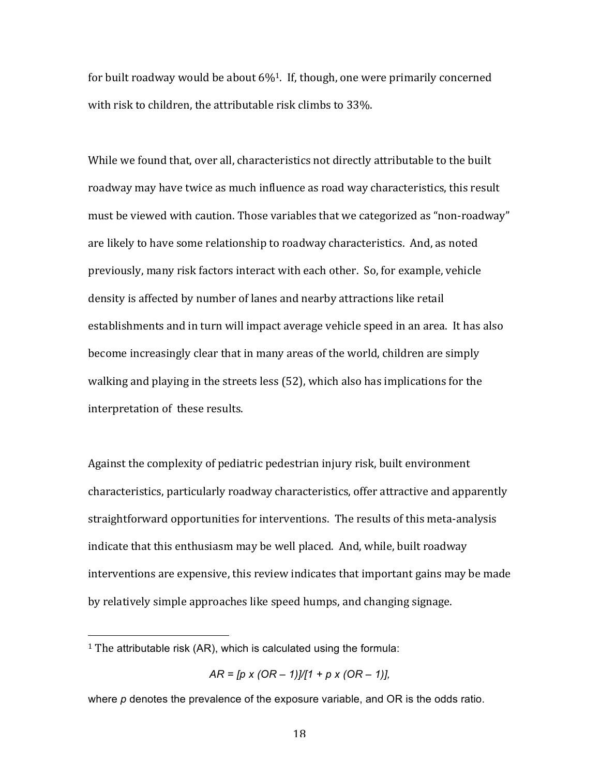for built roadway would be about  $6\%$ <sup>1</sup>. If, though, one were primarily concerned with risk to children, the attributable risk climbs to 33%.

While we found that, over all, characteristics not directly attributable to the built roadway may have twice as much influence as road way characteristics, this result must be viewed with caution. Those variables that we categorized as "non-roadway" are likely to have some relationship to roadway characteristics. And, as noted previously, many risk factors interact with each other. So, for example, vehicle density is affected by number of lanes and nearby attractions like retail establishments and in turn will impact average vehicle speed in an area. It has also become increasingly clear that in many areas of the world, children are simply walking and playing in the streets less (52), which also has implications for the interpretation of these results.

Against the complexity of pediatric pedestrian injury risk, built environment characteristics, particularly roadway characteristics, offer attractive and apparently straightforward opportunities for interventions. The results of this meta-analysis indicate that this enthusiasm may be well placed. And, while, built roadway interventions are expensive, this review indicates that important gains may be made by relatively simple approaches like speed humps, and changing signage.

!!!!!!!!!!!!!!!!!!!!!!!!!!!!!!!!!!!!!!!!!!!!!!!!!!!!!!!

<sup>&</sup>lt;sup>1</sup> The attributable risk (AR), which is calculated using the formula:

*AR = [p x (OR – 1)]/[1 + p x (OR – 1)],*

where *p* denotes the prevalence of the exposure variable, and OR is the odds ratio.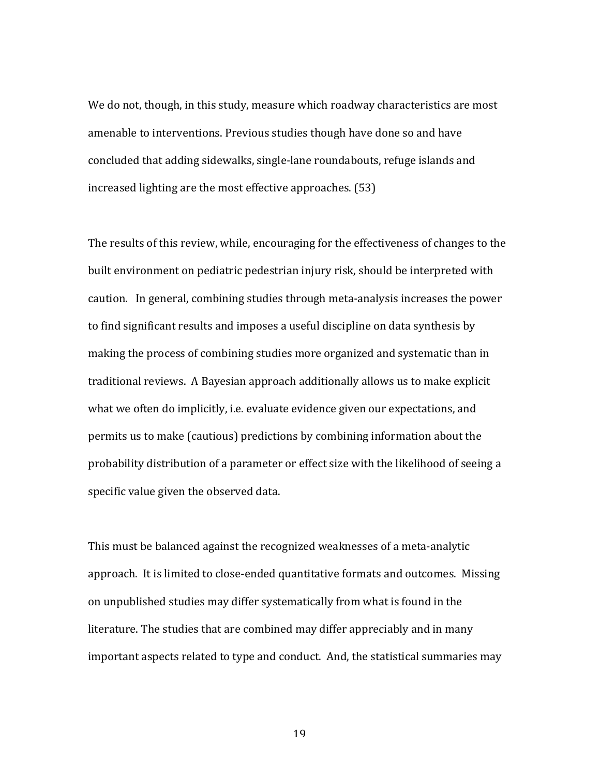We do not, though, in this study, measure which roadway characteristics are most amenable to interventions. Previous studies though have done so and have concluded that adding sidewalks, single-lane roundabouts, refuge islands and increased lighting are the most effective approaches. (53)

The results of this review, while, encouraging for the effectiveness of changes to the built environment on pediatric pedestrian injury risk, should be interpreted with caution. In general, combining studies through meta-analysis increases the power to find significant results and imposes a useful discipline on data synthesis by making the process of combining studies more organized and systematic than in traditional reviews. A Bayesian approach additionally allows us to make explicit what we often do implicitly, i.e. evaluate evidence given our expectations, and permits us to make (cautious) predictions by combining information about the probability distribution of a parameter or effect size with the likelihood of seeing a specific value given the observed data.

This must be balanced against the recognized weaknesses of a meta-analytic approach. It is limited to close-ended quantitative formats and outcomes. Missing on unpublished studies may differ systematically from what is found in the literature. The studies that are combined may differ appreciably and in many important aspects related to type and conduct. And, the statistical summaries may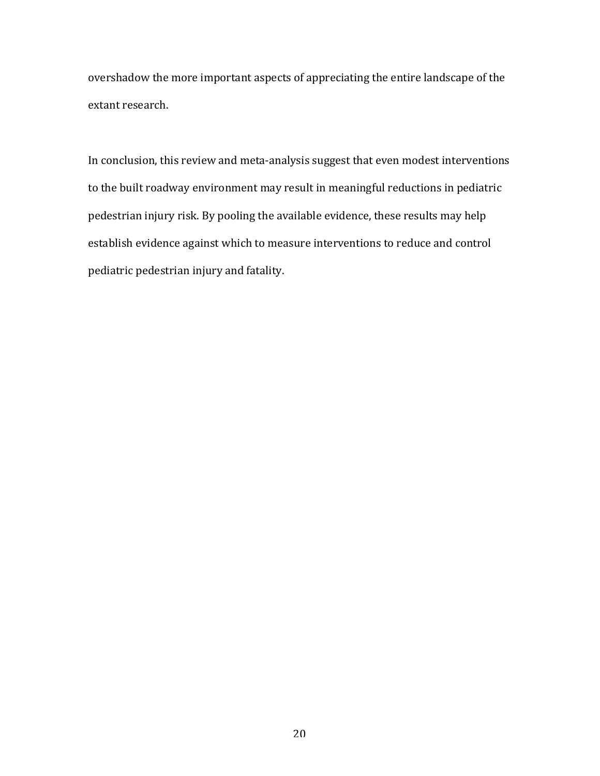overshadow the more important aspects of appreciating the entire landscape of the extant research.

In conclusion, this review and meta-analysis suggest that even modest interventions to the built roadway environment may result in meaningful reductions in pediatric pedestrian injury risk. By pooling the available evidence, these results may help establish evidence against which to measure interventions to reduce and control pediatric pedestrian injury and fatality.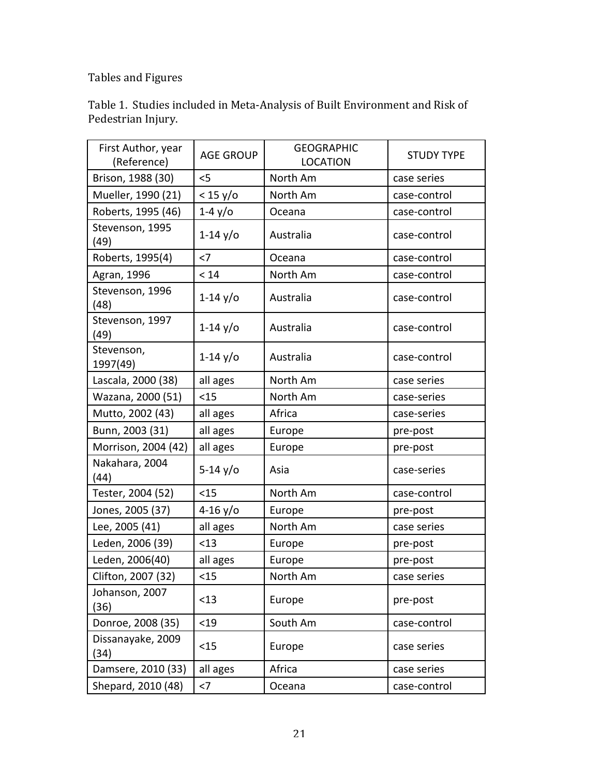# Tables and Figures

| Table 1. Studies included in Meta-Analysis of Built Environment and Risk of |
|-----------------------------------------------------------------------------|
| Pedestrian Injury.                                                          |

| First Author, year<br>(Reference) | <b>AGE GROUP</b> | <b>GEOGRAPHIC</b><br><b>LOCATION</b> | <b>STUDY TYPE</b> |
|-----------------------------------|------------------|--------------------------------------|-------------------|
| Brison, 1988 (30)                 | $<$ 5            | North Am                             | case series       |
| Mueller, 1990 (21)                | $<$ 15 y/o       | North Am                             | case-control      |
| Roberts, 1995 (46)                | $1-4y$ /0        | Oceana                               | case-control      |
| Stevenson, 1995<br>(49)           | $1-14$ y/o       | Australia                            | case-control      |
| Roberts, 1995(4)                  | $<$ 7            | Oceana                               | case-control      |
| Agran, 1996                       | < 14             | North Am                             | case-control      |
| Stevenson, 1996<br>(48)           | $1 - 14$ y/o     | Australia                            | case-control      |
| Stevenson, 1997<br>(49)           | $1 - 14$ y/o     | Australia                            | case-control      |
| Stevenson,<br>1997(49)            | $1 - 14$ y/o     | Australia                            | case-control      |
| Lascala, 2000 (38)                | all ages         | North Am                             | case series       |
| Wazana, 2000 (51)                 | < 15             | North Am                             | case-series       |
| Mutto, 2002 (43)                  | all ages         | Africa                               | case-series       |
| Bunn, 2003 (31)                   | all ages         | Europe                               | pre-post          |
| Morrison, 2004 (42)               | all ages         | Europe                               | pre-post          |
| Nakahara, 2004<br>(44)            | $5 - 14$ y/o     | Asia                                 | case-series       |
| Tester, 2004 (52)                 | < 15             | North Am                             | case-control      |
| Jones, 2005 (37)                  | $4 - 16$ y/o     | Europe                               | pre-post          |
| Lee, 2005 (41)                    | all ages         | North Am                             | case series       |
| Leden, 2006 (39)                  | < 13             | Europe                               | pre-post          |
| Leden, 2006(40)                   | all ages         | Europe                               | pre-post          |
| Clifton, 2007 (32)                | < 15             | North Am                             | case series       |
| Johanson, 2007<br>(36)            | $<$ 13           | Europe                               | pre-post          |
| Donroe, 2008 (35)                 | < 19             | South Am                             | case-control      |
| Dissanayake, 2009<br>(34)         | < 15             | Europe                               | case series       |
| Damsere, 2010 (33)                | all ages         | Africa                               | case series       |
| Shepard, 2010 (48)                | $<7\,$           | Oceana                               | case-control      |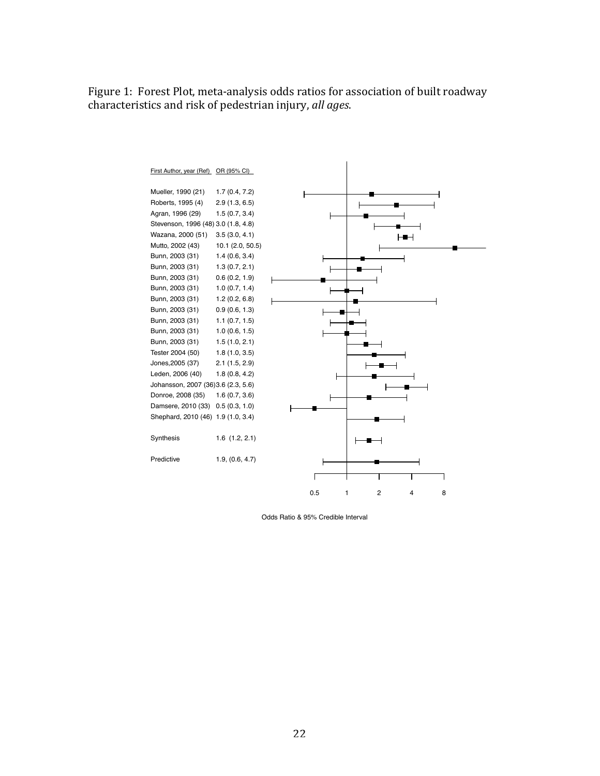Figure 1: Forest Plot, meta-analysis odds ratios for association of built roadway characteristics and risk of pedestrian injury, *all ages*.



Odds Ratio & 95% Credible Interval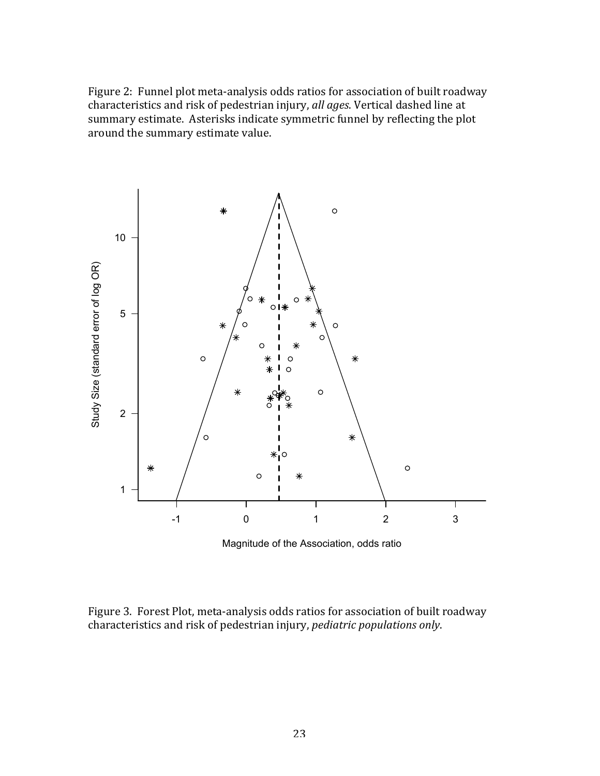Figure 2: Funnel plot meta-analysis odds ratios for association of built roadway characteristics and risk of pedestrian injury, *all ages*. Vertical dashed line at summary estimate. Asterisks indicate symmetric funnel by reflecting the plot around the summary estimate value.



Magnitude of the Association, odds ratio

Figure 3. Forest Plot, meta-analysis odds ratios for association of built roadway characteristics and risk of pedestrian injury, *pediatric populations only*.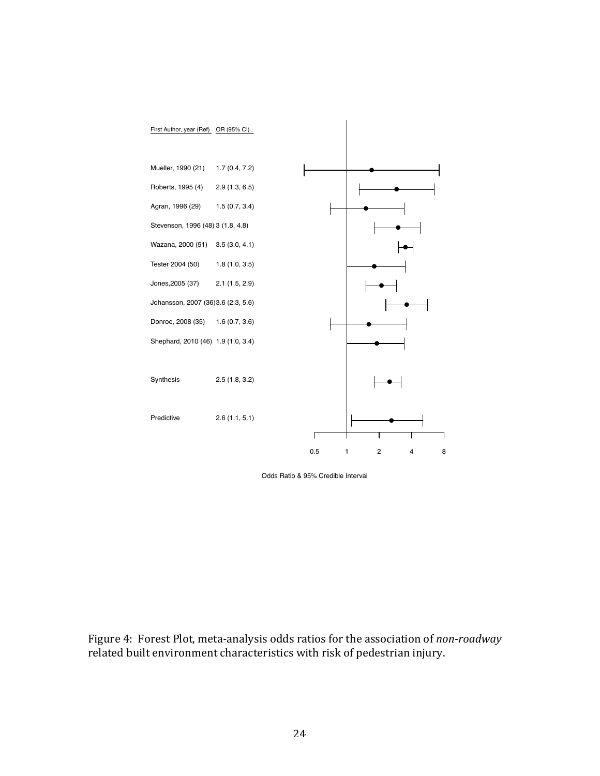

Odds Ratio & 95% Credible Interval

Figure 4: Forest Plot, meta-analysis odds ratios for the association of *non-roadway* related built environment characteristics with risk of pedestrian injury.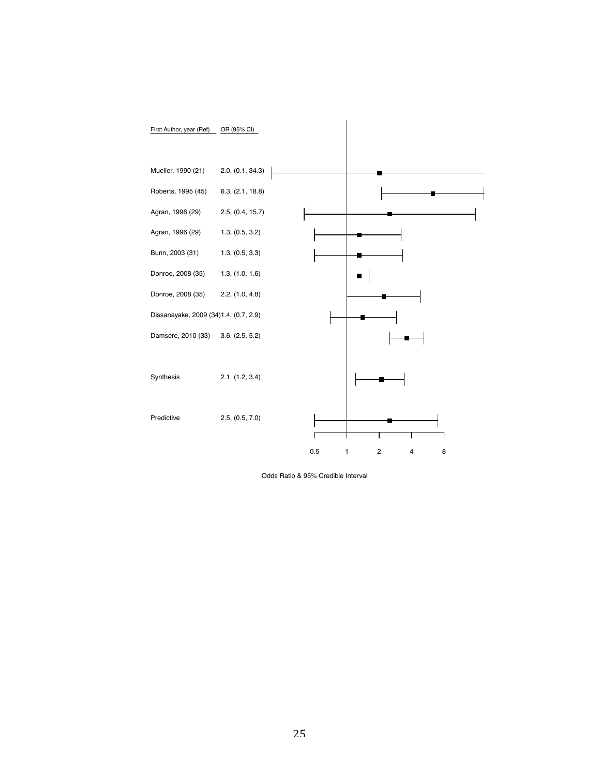

Odds Ratio & 95% Credible Interval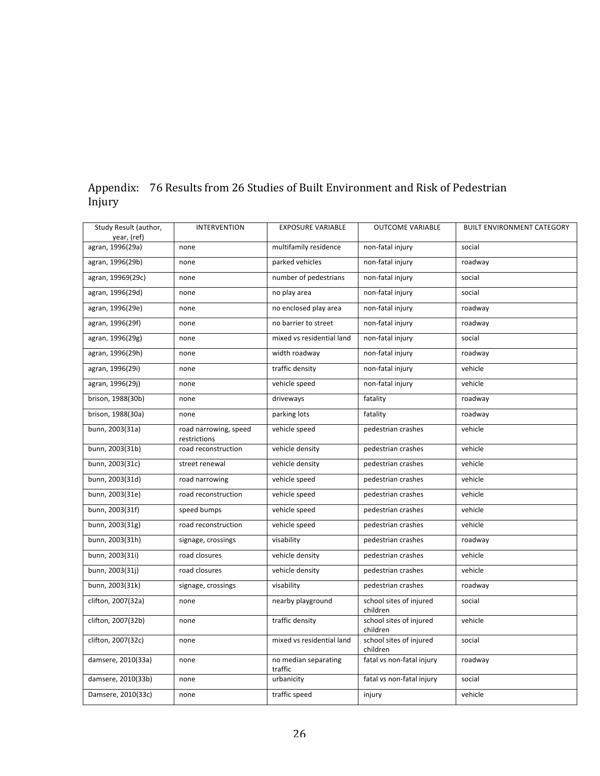| Study Result (author,<br>year, (ref) | <b>INTERVENTION</b>                   | <b>EXPOSURE VARIABLE</b>        | <b>OUTCOME VARIABLE</b>             | <b>BUILT ENVIRONMENT CATEGORY</b> |
|--------------------------------------|---------------------------------------|---------------------------------|-------------------------------------|-----------------------------------|
| agran, 1996(29a)                     | none                                  | multifamily residence           | non-fatal injury                    | social                            |
| agran, 1996(29b)                     | none                                  | parked vehicles                 | non-fatal injury                    | roadway                           |
| agran, 19969(29c)                    | none                                  | number of pedestrians           | non-fatal injury                    | social                            |
| agran, 1996(29d)                     | none                                  | no play area                    | non-fatal injury                    | social                            |
| agran, 1996(29e)                     | none                                  | no enclosed play area           | non-fatal injury                    | roadway                           |
| agran, 1996(29f)                     | none                                  | no barrier to street            | non-fatal injury                    | roadway                           |
| agran, 1996(29g)                     | none                                  | mixed vs residential land       | non-fatal injury                    | social                            |
| agran, 1996(29h)                     | none                                  | width roadway                   | non-fatal injury                    | roadway                           |
| agran, 1996(29i)                     | none                                  | traffic density                 | non-fatal injury                    | vehicle                           |
| agran, 1996(29j)                     | none                                  | vehicle speed                   | non-fatal injury                    | vehicle                           |
| brison, 1988(30b)                    | none                                  | driveways                       | fatality                            | roadway                           |
| brison, 1988(30a)                    | none                                  | parking lots                    | fatality                            | roadway                           |
| bunn, 2003(31a)                      | road narrowing, speed<br>restrictions | vehicle speed                   | pedestrian crashes                  | vehicle                           |
| bunn, 2003(31b)                      | road reconstruction                   | vehicle density                 | pedestrian crashes                  | vehicle                           |
| bunn, 2003(31c)                      | street renewal                        | vehicle density                 | pedestrian crashes                  | vehicle                           |
| bunn, 2003(31d)                      | road narrowing                        | vehicle speed                   | pedestrian crashes                  | vehicle                           |
| bunn, 2003(31e)                      | road reconstruction                   | vehicle speed                   | pedestrian crashes                  | vehicle                           |
| bunn, 2003(31f)                      | speed bumps                           | vehicle speed                   | pedestrian crashes                  | vehicle                           |
| bunn, 2003(31g)                      | road reconstruction                   | vehicle speed                   | pedestrian crashes                  | vehicle                           |
| bunn, 2003(31h)                      | signage, crossings                    | visability                      | pedestrian crashes                  | roadway                           |
| bunn, 2003(31i)                      | road closures                         | vehicle density                 | pedestrian crashes                  | vehicle                           |
| bunn, 2003(31j)                      | road closures                         | vehicle density                 | pedestrian crashes                  | vehicle                           |
| bunn, 2003(31k)                      | signage, crossings                    | visability                      | pedestrian crashes                  | roadway                           |
| clifton, 2007(32a)                   | none                                  | nearby playground               | school sites of injured<br>children | social                            |
| clifton, 2007(32b)                   | none                                  | traffic density                 | school sites of injured<br>children | vehicle                           |
| clifton, 2007(32c)                   | none                                  | mixed vs residential land       | school sites of injured<br>children | social                            |
| damsere, 2010(33a)                   | none                                  | no median separating<br>traffic | fatal vs non-fatal injury           | roadway                           |
| damsere, 2010(33b)                   | none                                  | urbanicity                      | fatal vs non-fatal injury           | social                            |
| Damsere, 2010(33c)                   | none                                  | traffic speed                   | injury                              | vehicle                           |

## Appendix: 76 Results from 26 Studies of Built Environment and Risk of Pedestrian Injury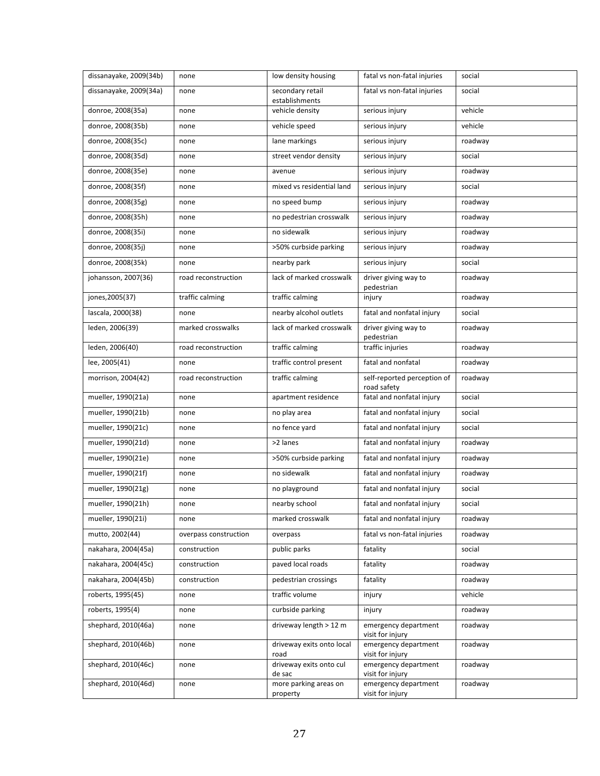| dissanayake, 2009(34b) | none                  | low density housing                | fatal vs non-fatal injuries                | social  |
|------------------------|-----------------------|------------------------------------|--------------------------------------------|---------|
| dissanayake, 2009(34a) | none                  | secondary retail<br>establishments | fatal vs non-fatal injuries                | social  |
| donroe, 2008(35a)      | none                  | vehicle density                    | serious injury                             | vehicle |
| donroe, 2008(35b)      | none                  | vehicle speed                      | serious injury                             | vehicle |
| donroe, 2008(35c)      | none                  | lane markings                      | serious injury                             | roadway |
| donroe, 2008(35d)      | none                  | street vendor density              | serious injury                             | social  |
| donroe, 2008(35e)      | none                  | avenue                             | serious injury                             | roadway |
| donroe, 2008(35f)      | none                  | mixed vs residential land          | serious injury                             | social  |
| donroe, 2008(35g)      | none                  | no speed bump                      | serious injury                             | roadway |
| donroe, 2008(35h)      | none                  | no pedestrian crosswalk            | serious injury                             | roadway |
| donroe, 2008(35i)      | none                  | no sidewalk                        | serious injury                             | roadway |
| donroe, 2008(35j)      | none                  | >50% curbside parking              | serious injury                             | roadway |
| donroe, 2008(35k)      | none                  | nearby park                        | serious injury                             | social  |
| johansson, 2007(36)    | road reconstruction   | lack of marked crosswalk           | driver giving way to<br>pedestrian         | roadway |
| jones, 2005(37)        | traffic calming       | traffic calming                    | injury                                     | roadway |
| lascala, 2000(38)      | none                  | nearby alcohol outlets             | fatal and nonfatal injury                  | social  |
| leden, 2006(39)        | marked crosswalks     | lack of marked crosswalk           | driver giving way to<br>pedestrian         | roadway |
| leden, 2006(40)        | road reconstruction   | traffic calming                    | traffic injuries                           | roadway |
| lee, 2005(41)          | none                  | traffic control present            | fatal and nonfatal                         | roadway |
| morrison, 2004(42)     | road reconstruction   | traffic calming                    | self-reported perception of<br>road safety | roadway |
| mueller, 1990(21a)     | none                  | apartment residence                | fatal and nonfatal injury                  | social  |
| mueller, 1990(21b)     | none                  | no play area                       | fatal and nonfatal injury                  | social  |
| mueller, 1990(21c)     | none                  | no fence yard                      | fatal and nonfatal injury                  | social  |
| mueller, 1990(21d)     | none                  | >2 lanes                           | fatal and nonfatal injury                  | roadway |
| mueller, 1990(21e)     | none                  | >50% curbside parking              | fatal and nonfatal injury                  | roadway |
| mueller, 1990(21f)     | none                  | no sidewalk                        | fatal and nonfatal injury                  | roadway |
| mueller, 1990(21g)     | none                  | no playground                      | fatal and nonfatal injury                  | social  |
| mueller, 1990(21h)     | none                  | nearby school                      | fatal and nonfatal injury                  | social  |
| mueller, 1990(21i)     | none                  | marked crosswalk                   | fatal and nonfatal injury                  | roadway |
| mutto, 2002(44)        | overpass construction | overpass                           | fatal vs non-fatal injuries                | roadway |
| nakahara, 2004(45a)    | construction          | public parks                       | fatality                                   | social  |
| nakahara, 2004(45c)    | construction          | paved local roads                  | fatality                                   | roadway |
| nakahara, 2004(45b)    | construction          | pedestrian crossings               | fatality                                   | roadway |
| roberts, 1995(45)      | none                  | traffic volume                     | injury                                     | vehicle |
| roberts, 1995(4)       | none                  | curbside parking                   | injury                                     | roadway |
| shephard, 2010(46a)    | none                  | driveway length > 12 m             | emergency department<br>visit for injury   | roadway |
| shephard, 2010(46b)    | none                  | driveway exits onto local<br>road  | emergency department<br>visit for injury   | roadway |
| shephard, 2010(46c)    | none                  | driveway exits onto cul<br>de sac  | emergency department<br>visit for injury   | roadway |
| shephard, 2010(46d)    | none                  | more parking areas on<br>property  | emergency department<br>visit for injury   | roadway |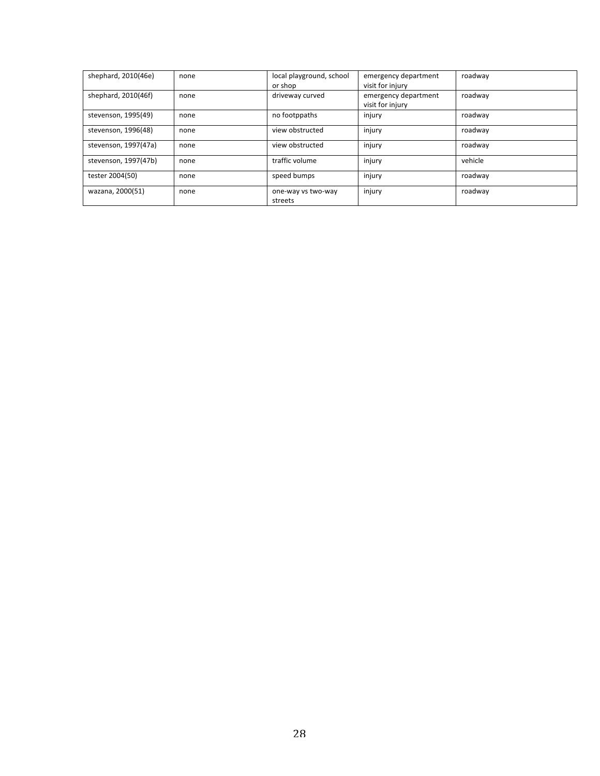| shephard, 2010(46e)  | none | local playground, school<br>or shop | emergency department<br>visit for injury | roadway |
|----------------------|------|-------------------------------------|------------------------------------------|---------|
| shephard, 2010(46f)  | none | driveway curved                     | emergency department<br>visit for injury | roadway |
| stevenson, 1995(49)  | none | no footppaths                       | injury                                   | roadway |
| stevenson, 1996(48)  | none | view obstructed                     | injury                                   | roadway |
| stevenson, 1997(47a) | none | view obstructed                     | injury                                   | roadway |
| stevenson, 1997(47b) | none | traffic volume                      | injury                                   | vehicle |
| tester 2004(50)      | none | speed bumps                         | injury                                   | roadway |
| wazana, 2000(51)     | none | one-way vs two-way<br>streets       | injury                                   | roadway |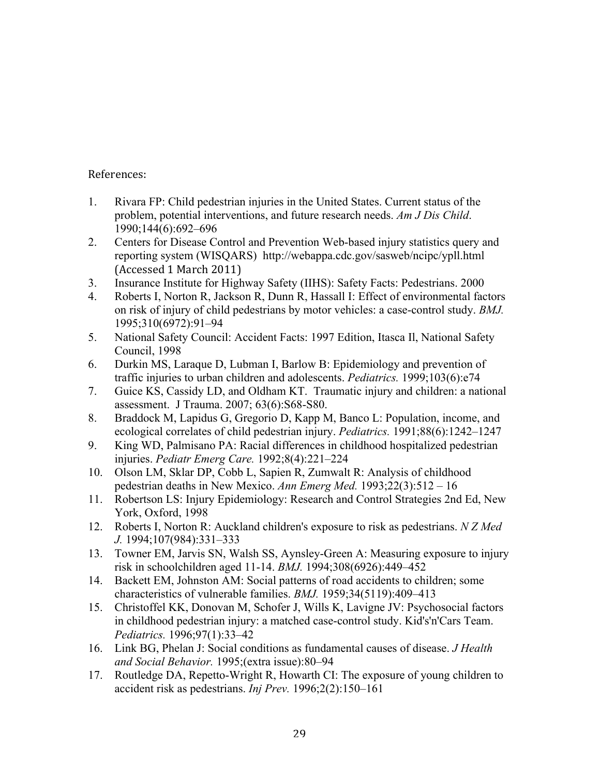References:

- 1. Rivara FP: Child pedestrian injuries in the United States. Current status of the problem, potential interventions, and future research needs. *Am J Dis Child*. 1990;144(6):692–696
- 2. Centers for Disease Control and Prevention Web-based injury statistics query and reporting system (WISQARS) http://webappa.cdc.gov/sasweb/ncipc/ypll.html (Accessed 1 March 2011)
- 3. Insurance Institute for Highway Safety (IIHS): Safety Facts: Pedestrians. 2000
- 4. Roberts I, Norton R, Jackson R, Dunn R, Hassall I: Effect of environmental factors on risk of injury of child pedestrians by motor vehicles: a case-control study. *BMJ.* 1995;310(6972):91–94
- 5. National Safety Council: Accident Facts: 1997 Edition, Itasca Il, National Safety Council, 1998
- 6. Durkin MS, Laraque D, Lubman I, Barlow B: Epidemiology and prevention of traffic injuries to urban children and adolescents. *Pediatrics.* 1999;103(6):e74
- 7. Guice KS, Cassidy LD, and Oldham KT. Traumatic injury and children: a national assessment. J Trauma. 2007; 63(6):S68-S80.
- 8. Braddock M, Lapidus G, Gregorio D, Kapp M, Banco L: Population, income, and ecological correlates of child pedestrian injury. *Pediatrics.* 1991;88(6):1242–1247
- 9. King WD, Palmisano PA: Racial differences in childhood hospitalized pedestrian injuries. *Pediatr Emerg Care.* 1992;8(4):221–224
- 10. Olson LM, Sklar DP, Cobb L, Sapien R, Zumwalt R: Analysis of childhood pedestrian deaths in New Mexico. *Ann Emerg Med.* 1993;22(3):512 – 16
- 11. Robertson LS: Injury Epidemiology: Research and Control Strategies 2nd Ed, New York, Oxford, 1998
- 12. Roberts I, Norton R: Auckland children's exposure to risk as pedestrians. *N Z Med J.* 1994;107(984):331–333
- 13. Towner EM, Jarvis SN, Walsh SS, Aynsley-Green A: Measuring exposure to injury risk in schoolchildren aged 11-14. *BMJ.* 1994;308(6926):449–452
- 14. Backett EM, Johnston AM: Social patterns of road accidents to children; some characteristics of vulnerable families. *BMJ.* 1959;34(5119):409–413
- 15. Christoffel KK, Donovan M, Schofer J, Wills K, Lavigne JV: Psychosocial factors in childhood pedestrian injury: a matched case-control study. Kid's'n'Cars Team. *Pediatrics.* 1996;97(1):33–42
- 16. Link BG, Phelan J: Social conditions as fundamental causes of disease. *J Health and Social Behavior.* 1995;(extra issue):80–94
- 17. Routledge DA, Repetto-Wright R, Howarth CI: The exposure of young children to accident risk as pedestrians. *Inj Prev.* 1996;2(2):150–161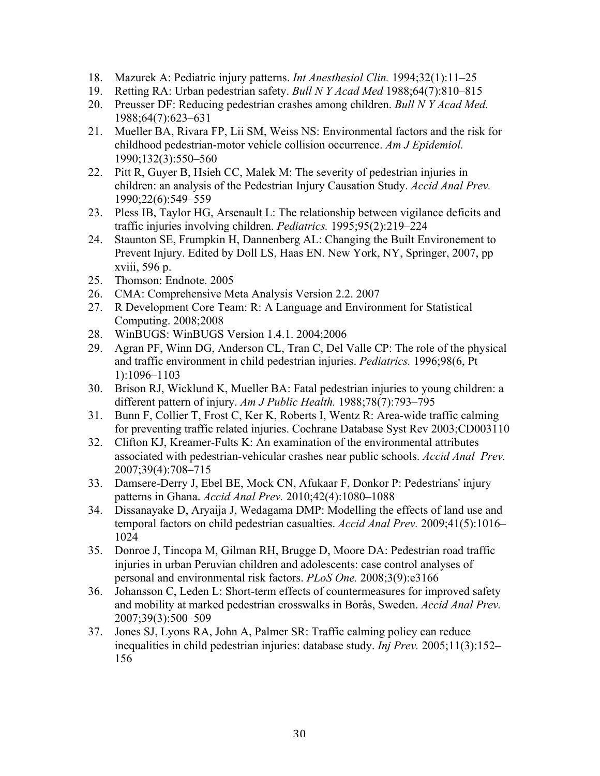- 18. Mazurek A: Pediatric injury patterns. *Int Anesthesiol Clin.* 1994;32(1):11–25
- 19. Retting RA: Urban pedestrian safety. *Bull N Y Acad Med* 1988;64(7):810–815
- 20. Preusser DF: Reducing pedestrian crashes among children. *Bull N Y Acad Med.* 1988;64(7):623–631
- 21. Mueller BA, Rivara FP, Lii SM, Weiss NS: Environmental factors and the risk for childhood pedestrian-motor vehicle collision occurrence. *Am J Epidemiol.* 1990;132(3):550–560
- 22. Pitt R, Guyer B, Hsieh CC, Malek M: The severity of pedestrian injuries in children: an analysis of the Pedestrian Injury Causation Study. *Accid Anal Prev.* 1990;22(6):549–559
- 23. Pless IB, Taylor HG, Arsenault L: The relationship between vigilance deficits and traffic injuries involving children. *Pediatrics.* 1995;95(2):219–224
- 24. Staunton SE, Frumpkin H, Dannenberg AL: Changing the Built Environement to Prevent Injury. Edited by Doll LS, Haas EN. New York, NY, Springer, 2007, pp xviii, 596 p.
- 25. Thomson: Endnote. 2005
- 26. CMA: Comprehensive Meta Analysis Version 2.2. 2007
- 27. R Development Core Team: R: A Language and Environment for Statistical Computing. 2008;2008
- 28. WinBUGS: WinBUGS Version 1.4.1. 2004;2006
- 29. Agran PF, Winn DG, Anderson CL, Tran C, Del Valle CP: The role of the physical and traffic environment in child pedestrian injuries. *Pediatrics.* 1996;98(6, Pt 1):1096–1103
- 30. Brison RJ, Wicklund K, Mueller BA: Fatal pedestrian injuries to young children: a different pattern of injury. *Am J Public Health.* 1988;78(7):793–795
- 31. Bunn F, Collier T, Frost C, Ker K, Roberts I, Wentz R: Area-wide traffic calming for preventing traffic related injuries. Cochrane Database Syst Rev 2003;CD003110
- 32. Clifton KJ, Kreamer-Fults K: An examination of the environmental attributes associated with pedestrian-vehicular crashes near public schools. *Accid Anal Prev.*  2007;39(4):708–715
- 33. Damsere-Derry J, Ebel BE, Mock CN, Afukaar F, Donkor P: Pedestrians' injury patterns in Ghana. *Accid Anal Prev.* 2010;42(4):1080–1088
- 34. Dissanayake D, Aryaija J, Wedagama DMP: Modelling the effects of land use and temporal factors on child pedestrian casualties. *Accid Anal Prev.* 2009;41(5):1016– 1024
- 35. Donroe J, Tincopa M, Gilman RH, Brugge D, Moore DA: Pedestrian road traffic injuries in urban Peruvian children and adolescents: case control analyses of personal and environmental risk factors. *PLoS One.* 2008;3(9):e3166
- 36. Johansson C, Leden L: Short-term effects of countermeasures for improved safety and mobility at marked pedestrian crosswalks in Borås, Sweden. *Accid Anal Prev.* 2007;39(3):500–509
- 37. Jones SJ, Lyons RA, John A, Palmer SR: Traffic calming policy can reduce inequalities in child pedestrian injuries: database study. *Inj Prev.* 2005;11(3):152– 156